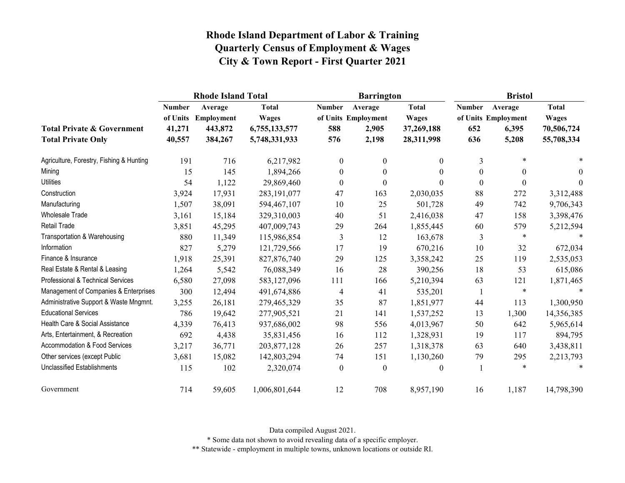|                                                                    |                                   | <b>Rhode Island Total</b>                            |                                                                |                             | <b>Barrington</b>                                |                                                          | <b>Bristol</b>              |                                                  |                                                          |
|--------------------------------------------------------------------|-----------------------------------|------------------------------------------------------|----------------------------------------------------------------|-----------------------------|--------------------------------------------------|----------------------------------------------------------|-----------------------------|--------------------------------------------------|----------------------------------------------------------|
| <b>Total Private &amp; Government</b><br><b>Total Private Only</b> | <b>Number</b><br>41,271<br>40,557 | Average<br>of Units Employment<br>443,872<br>384,267 | <b>Total</b><br><b>Wages</b><br>6,755,133,577<br>5,748,331,933 | <b>Number</b><br>588<br>576 | Average<br>of Units Employment<br>2,905<br>2,198 | <b>Total</b><br><b>Wages</b><br>37,269,188<br>28,311,998 | <b>Number</b><br>652<br>636 | Average<br>of Units Employment<br>6,395<br>5,208 | <b>Total</b><br><b>Wages</b><br>70,506,724<br>55,708,334 |
| Agriculture, Forestry, Fishing & Hunting                           | 191                               | 716                                                  | 6,217,982                                                      | $\boldsymbol{0}$            | $\mathbf{0}$                                     | 0                                                        | 3                           | $\ast$                                           | $\ast$                                                   |
| Mining                                                             | 15                                | 145                                                  | 1,894,266                                                      | $\mathbf{0}$                | $\theta$                                         | $\theta$                                                 | $\theta$                    | $\theta$                                         | $\theta$                                                 |
| <b>Utilities</b>                                                   | 54                                | 1,122                                                | 29,869,460                                                     | $\boldsymbol{0}$            | $\boldsymbol{0}$                                 | 0                                                        | $\boldsymbol{0}$            | $\boldsymbol{0}$                                 | $\theta$                                                 |
| Construction                                                       | 3,924                             | 17,931                                               | 283,191,077                                                    | 47                          | 163                                              | 2,030,035                                                | 88                          | 272                                              | 3,312,488                                                |
| Manufacturing                                                      | 1,507                             | 38,091                                               | 594,467,107                                                    | 10                          | 25                                               | 501,728                                                  | 49                          | 742                                              | 9,706,343                                                |
| <b>Wholesale Trade</b>                                             | 3,161                             | 15,184                                               | 329,310,003                                                    | 40                          | 51                                               | 2,416,038                                                | 47                          | 158                                              | 3,398,476                                                |
| Retail Trade                                                       | 3,851                             | 45,295                                               | 407,009,743                                                    | 29                          | 264                                              | 1,855,445                                                | 60                          | 579                                              | 5,212,594                                                |
| Transportation & Warehousing                                       | 880                               | 11,349                                               | 115,986,854                                                    | 3                           | 12                                               | 163,678                                                  | 3                           | $\ast$                                           | $\ast$                                                   |
| Information                                                        | 827                               | 5,279                                                | 121,729,566                                                    | 17                          | 19                                               | 670,216                                                  | 10                          | 32                                               | 672,034                                                  |
| Finance & Insurance                                                | 1,918                             | 25,391                                               | 827, 876, 740                                                  | 29                          | 125                                              | 3,358,242                                                | 25                          | 119                                              | 2,535,053                                                |
| Real Estate & Rental & Leasing                                     | 1,264                             | 5,542                                                | 76,088,349                                                     | 16                          | 28                                               | 390,256                                                  | 18                          | 53                                               | 615,086                                                  |
| Professional & Technical Services                                  | 6,580                             | 27,098                                               | 583,127,096                                                    | 111                         | 166                                              | 5,210,394                                                | 63                          | 121                                              | 1,871,465                                                |
| Management of Companies & Enterprises                              | 300                               | 12,494                                               | 491,674,886                                                    | 4                           | 41                                               | 535,201                                                  | 1                           | $\ast$                                           |                                                          |
| Administrative Support & Waste Mngmnt.                             | 3,255                             | 26,181                                               | 279,465,329                                                    | 35                          | 87                                               | 1,851,977                                                | 44                          | 113                                              | 1,300,950                                                |
| <b>Educational Services</b>                                        | 786                               | 19,642                                               | 277,905,521                                                    | 21                          | 141                                              | 1,537,252                                                | 13                          | 1,300                                            | 14,356,385                                               |
| Health Care & Social Assistance                                    | 4,339                             | 76,413                                               | 937,686,002                                                    | 98                          | 556                                              | 4,013,967                                                | 50                          | 642                                              | 5,965,614                                                |
| Arts, Entertainment, & Recreation                                  | 692                               | 4,438                                                | 35,831,456                                                     | 16                          | 112                                              | 1,328,931                                                | 19                          | 117                                              | 894,795                                                  |
| Accommodation & Food Services                                      | 3,217                             | 36,771                                               | 203,877,128                                                    | 26                          | 257                                              | 1,318,378                                                | 63                          | 640                                              | 3,438,811                                                |
| Other services (except Public                                      | 3,681                             | 15,082                                               | 142,803,294                                                    | 74                          | 151                                              | 1,130,260                                                | 79                          | 295                                              | 2,213,793                                                |
| <b>Unclassified Establishments</b>                                 | 115                               | 102                                                  | 2,320,074                                                      | $\theta$                    | $\boldsymbol{0}$                                 | 0                                                        |                             | $\ast$                                           | $\ast$                                                   |
| Government                                                         | 714                               | 59,605                                               | 1,006,801,644                                                  | 12                          | 708                                              | 8,957,190                                                | 16                          | 1,187                                            | 14,798,390                                               |

Data compiled August 2021.

\* Some data not shown to avoid revealing data of a specific employer.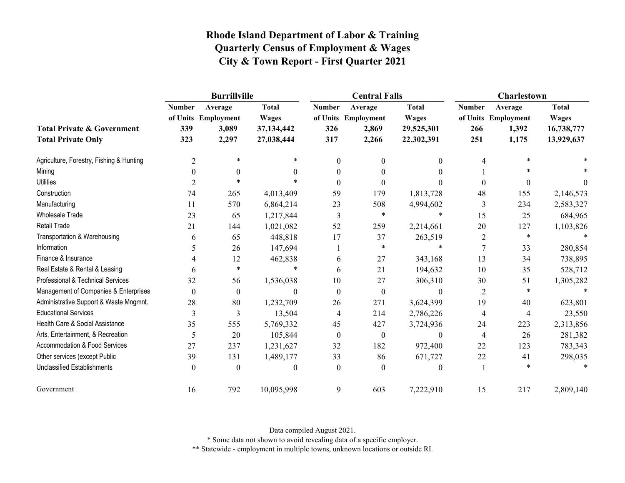|                                                                    |                             | <b>Burrillville</b>                              |                                                          |                             | <b>Central Falls</b>                             |                                                          | Charlestown                 |                                                  |                                                          |
|--------------------------------------------------------------------|-----------------------------|--------------------------------------------------|----------------------------------------------------------|-----------------------------|--------------------------------------------------|----------------------------------------------------------|-----------------------------|--------------------------------------------------|----------------------------------------------------------|
| <b>Total Private &amp; Government</b><br><b>Total Private Only</b> | <b>Number</b><br>339<br>323 | Average<br>of Units Employment<br>3,089<br>2,297 | <b>Total</b><br><b>Wages</b><br>37,134,442<br>27,038,444 | <b>Number</b><br>326<br>317 | Average<br>of Units Employment<br>2,869<br>2,266 | <b>Total</b><br><b>Wages</b><br>29,525,301<br>22,302,391 | <b>Number</b><br>266<br>251 | Average<br>of Units Employment<br>1,392<br>1,175 | <b>Total</b><br><b>Wages</b><br>16,738,777<br>13,929,637 |
| Agriculture, Forestry, Fishing & Hunting                           | $\overline{2}$              | $\ast$                                           | *                                                        | $\theta$                    | $\theta$                                         | 0                                                        | 4                           | ∗                                                |                                                          |
| Mining                                                             | 0                           | $\Omega$                                         | 0                                                        | $\Omega$                    | 0                                                | 0                                                        |                             |                                                  |                                                          |
| <b>Utilities</b>                                                   | 2                           | $\star$                                          |                                                          | $\Omega$                    | 0                                                |                                                          | $\theta$                    | $\theta$                                         | $\Omega$                                                 |
| Construction                                                       | 74                          | 265                                              | 4,013,409                                                | 59                          | 179                                              | 1,813,728                                                | 48                          | 155                                              | 2,146,573                                                |
| Manufacturing                                                      | 11                          | 570                                              | 6,864,214                                                | 23                          | 508                                              | 4,994,602                                                | 3                           | 234                                              | 2,583,327                                                |
| Wholesale Trade                                                    | 23                          | 65                                               | 1,217,844                                                | 3                           | $\ast$                                           | $\ast$                                                   | 15                          | 25                                               | 684,965                                                  |
| <b>Retail Trade</b>                                                | 21                          | 144                                              | 1,021,082                                                | 52                          | 259                                              | 2,214,661                                                | 20                          | 127                                              | 1,103,826                                                |
| Transportation & Warehousing                                       | 6                           | 65                                               | 448,818                                                  | 17                          | 37                                               | 263,519                                                  | 2                           | $\ast$                                           |                                                          |
| Information                                                        | 5                           | 26                                               | 147,694                                                  |                             | $\ast$                                           | $\ast$                                                   | 7                           | 33                                               | 280,854                                                  |
| Finance & Insurance                                                |                             | 12                                               | 462,838                                                  | 6                           | 27                                               | 343,168                                                  | 13                          | 34                                               | 738,895                                                  |
| Real Estate & Rental & Leasing                                     | 6                           | $\ast$                                           | $\ast$                                                   | 6                           | 21                                               | 194,632                                                  | 10                          | 35                                               | 528,712                                                  |
| Professional & Technical Services                                  | 32                          | 56                                               | 1,536,038                                                | 10                          | 27                                               | 306,310                                                  | 30                          | 51                                               | 1,305,282                                                |
| Management of Companies & Enterprises                              | $\Omega$                    | $\boldsymbol{0}$                                 | $\theta$                                                 | $\theta$                    | $\overline{0}$                                   | $\theta$                                                 | $\overline{2}$              | $\ast$                                           |                                                          |
| Administrative Support & Waste Mngmnt.                             | 28                          | 80                                               | 1,232,709                                                | 26                          | 271                                              | 3,624,399                                                | 19                          | 40                                               | 623,801                                                  |
| <b>Educational Services</b>                                        | 3                           | 3                                                | 13,504                                                   | 4                           | 214                                              | 2,786,226                                                | 4                           | $\overline{4}$                                   | 23,550                                                   |
| Health Care & Social Assistance                                    | 35                          | 555                                              | 5,769,332                                                | 45                          | 427                                              | 3,724,936                                                | 24                          | 223                                              | 2,313,856                                                |
| Arts, Entertainment, & Recreation                                  | 5                           | 20                                               | 105,844                                                  | $\theta$                    | $\overline{0}$                                   | $\boldsymbol{0}$                                         | $\overline{4}$              | 26                                               | 281,382                                                  |
| Accommodation & Food Services                                      | 27                          | 237                                              | 1,231,627                                                | 32                          | 182                                              | 972,400                                                  | 22                          | 123                                              | 783,343                                                  |
| Other services (except Public                                      | 39                          | 131                                              | 1,489,177                                                | 33                          | 86                                               | 671,727                                                  | 22                          | 41                                               | 298,035                                                  |
| <b>Unclassified Establishments</b>                                 | $\theta$                    | $\theta$                                         | 0                                                        | $\theta$                    | $\theta$                                         | $\theta$                                                 |                             | $\ast$                                           |                                                          |
| Government                                                         | 16                          | 792                                              | 10,095,998                                               | 9                           | 603                                              | 7,222,910                                                | 15                          | 217                                              | 2,809,140                                                |

Data compiled August 2021.

\* Some data not shown to avoid revealing data of a specific employer.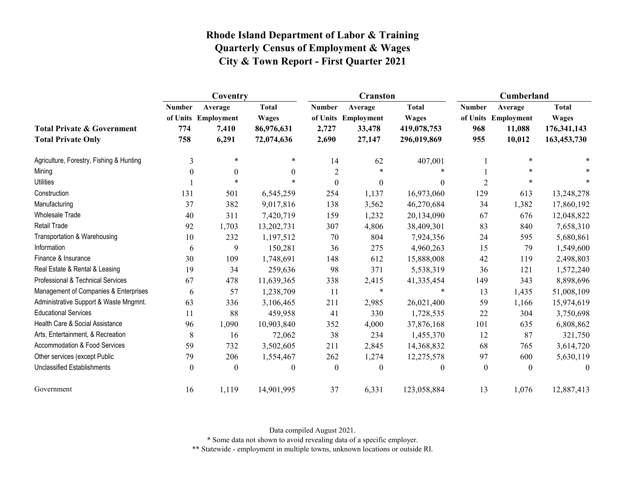|                                                                    | Coventry                    |                                                  |                                                          |                                 | <b>Cranston</b>                                    |                                                            | Cumberland                  |                                                    |                                                              |
|--------------------------------------------------------------------|-----------------------------|--------------------------------------------------|----------------------------------------------------------|---------------------------------|----------------------------------------------------|------------------------------------------------------------|-----------------------------|----------------------------------------------------|--------------------------------------------------------------|
| <b>Total Private &amp; Government</b><br><b>Total Private Only</b> | <b>Number</b><br>774<br>758 | Average<br>of Units Employment<br>7,410<br>6,291 | <b>Total</b><br><b>Wages</b><br>86,976,631<br>72,074,636 | <b>Number</b><br>2,727<br>2,690 | Average<br>of Units Employment<br>33,478<br>27,147 | <b>Total</b><br><b>Wages</b><br>419,078,753<br>296,019,869 | <b>Number</b><br>968<br>955 | Average<br>of Units Employment<br>11,088<br>10,012 | <b>Total</b><br><b>Wages</b><br>176, 341, 143<br>163,453,730 |
| Agriculture, Forestry, Fishing & Hunting                           | 3                           | $\star$                                          | *                                                        | 14                              | 62                                                 | 407,001                                                    |                             | $\ast$                                             |                                                              |
| Mining                                                             | $\theta$                    | $\boldsymbol{0}$                                 | $\theta$                                                 | $\overline{2}$                  | $\ast$                                             |                                                            |                             | $\ast$                                             |                                                              |
| <b>Utilities</b>                                                   |                             | $\star$                                          |                                                          | $\boldsymbol{0}$                | $\mathbf{0}$                                       | $\theta$                                                   | $\overline{2}$              | $\ast$                                             | $\ast$                                                       |
| Construction                                                       | 131                         | 501                                              | 6,545,259                                                | 254                             | 1,137                                              | 16,973,060                                                 | 129                         | 613                                                | 13,248,278                                                   |
| Manufacturing                                                      | 37                          | 382                                              | 9,017,816                                                | 138                             | 3,562                                              | 46,270,684                                                 | 34                          | 1,382                                              | 17,860,192                                                   |
| Wholesale Trade                                                    | 40                          | 311                                              | 7,420,719                                                | 159                             | 1,232                                              | 20,134,090                                                 | 67                          | 676                                                | 12,048,822                                                   |
| Retail Trade                                                       | 92                          | 1,703                                            | 13,202,731                                               | 307                             | 4,806                                              | 38,409,301                                                 | 83                          | 840                                                | 7,658,310                                                    |
| Transportation & Warehousing                                       | 10                          | 232                                              | 1,197,512                                                | 70                              | 804                                                | 7,924,356                                                  | 24                          | 595                                                | 5,680,861                                                    |
| Information                                                        | 6                           | 9                                                | 150,281                                                  | 36                              | 275                                                | 4,960,263                                                  | 15                          | 79                                                 | 1,549,600                                                    |
| Finance & Insurance                                                | 30                          | 109                                              | 1,748,691                                                | 148                             | 612                                                | 15,888,008                                                 | 42                          | 119                                                | 2,498,803                                                    |
| Real Estate & Rental & Leasing                                     | 19                          | 34                                               | 259,636                                                  | 98                              | 371                                                | 5,538,319                                                  | 36                          | 121                                                | 1,572,240                                                    |
| Professional & Technical Services                                  | 67                          | 478                                              | 11,639,365                                               | 338                             | 2,415                                              | 41,335,454                                                 | 149                         | 343                                                | 8,898,696                                                    |
| Management of Companies & Enterprises                              | 6                           | 57                                               | 1,238,709                                                | 11                              | $\ast$                                             | $\ast$                                                     | 13                          | 1,435                                              | 51,008,109                                                   |
| Administrative Support & Waste Mngmnt.                             | 63                          | 336                                              | 3,106,465                                                | 211                             | 2,985                                              | 26,021,400                                                 | 59                          | 1,166                                              | 15,974,619                                                   |
| <b>Educational Services</b>                                        | 11                          | 88                                               | 459,958                                                  | 41                              | 330                                                | 1,728,535                                                  | 22                          | 304                                                | 3,750,698                                                    |
| Health Care & Social Assistance                                    | 96                          | 1,090                                            | 10,903,840                                               | 352                             | 4,000                                              | 37,876,168                                                 | 101                         | 635                                                | 6,808,862                                                    |
| Arts, Entertainment, & Recreation                                  | 8                           | 16                                               | 72,062                                                   | 38                              | 234                                                | 1,455,370                                                  | 12                          | 87                                                 | 321,750                                                      |
| <b>Accommodation &amp; Food Services</b>                           | 59                          | 732                                              | 3,502,605                                                | 211                             | 2,845                                              | 14,368,832                                                 | 68                          | 765                                                | 3,614,720                                                    |
| Other services (except Public                                      | 79                          | 206                                              | 1,554,467                                                | 262                             | 1,274                                              | 12,275,578                                                 | 97                          | 600                                                | 5,630,119                                                    |
| <b>Unclassified Establishments</b>                                 | $\boldsymbol{0}$            | $\boldsymbol{0}$                                 | $\mathbf{0}$                                             | $\boldsymbol{0}$                | $\boldsymbol{0}$                                   | $\theta$                                                   | $\boldsymbol{0}$            | $\boldsymbol{0}$                                   | $\theta$                                                     |
| Government                                                         | 16                          | 1,119                                            | 14,901,995                                               | 37                              | 6,331                                              | 123,058,884                                                | 13                          | 1,076                                              | 12,887,413                                                   |

Data compiled August 2021.

\* Some data not shown to avoid revealing data of a specific employer.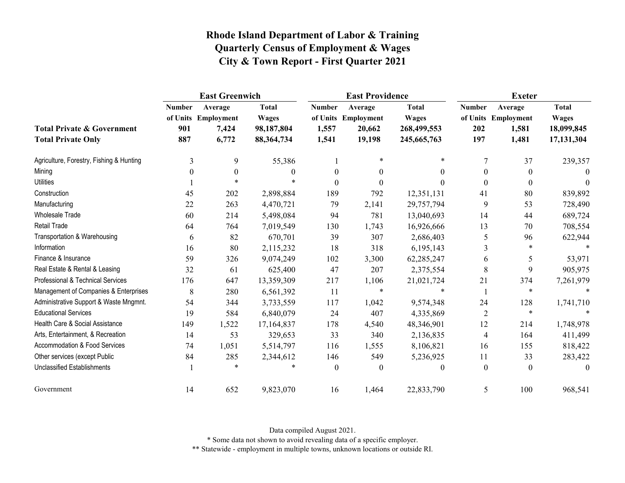|                                                                    |                             | <b>East Greenwich</b>                            |                                                            |                                 | <b>East Providence</b>                             |                                                            | <b>Exeter</b>               |                                                  |                                                          |
|--------------------------------------------------------------------|-----------------------------|--------------------------------------------------|------------------------------------------------------------|---------------------------------|----------------------------------------------------|------------------------------------------------------------|-----------------------------|--------------------------------------------------|----------------------------------------------------------|
| <b>Total Private &amp; Government</b><br><b>Total Private Only</b> | <b>Number</b><br>901<br>887 | Average<br>of Units Employment<br>7,424<br>6,772 | <b>Total</b><br><b>Wages</b><br>98,187,804<br>88, 364, 734 | <b>Number</b><br>1,557<br>1,541 | Average<br>of Units Employment<br>20,662<br>19,198 | <b>Total</b><br><b>Wages</b><br>268,499,553<br>245,665,763 | <b>Number</b><br>202<br>197 | Average<br>of Units Employment<br>1,581<br>1,481 | <b>Total</b><br><b>Wages</b><br>18,099,845<br>17,131,304 |
| Agriculture, Forestry, Fishing & Hunting                           | 3                           | 9                                                | 55,386                                                     |                                 | $\ast$                                             | $\star$                                                    | 7                           | 37                                               | 239,357                                                  |
| Mining                                                             | $\theta$                    | $\theta$                                         | $\Omega$                                                   | $\theta$                        | $\theta$                                           | $\theta$                                                   | $\theta$                    | $\mathbf{0}$                                     | $\theta$                                                 |
| <b>Utilities</b>                                                   |                             | $\star$                                          | $\ast$                                                     | $\boldsymbol{0}$                | $\boldsymbol{0}$                                   | $\Omega$                                                   | $\boldsymbol{0}$            | $\boldsymbol{0}$                                 | $\theta$                                                 |
| Construction                                                       | 45                          | 202                                              | 2,898,884                                                  | 189                             | 792                                                | 12,351,131                                                 | 41                          | 80                                               | 839,892                                                  |
| Manufacturing                                                      | 22                          | 263                                              | 4,470,721                                                  | 79                              | 2,141                                              | 29,757,794                                                 | 9                           | 53                                               | 728,490                                                  |
| <b>Wholesale Trade</b>                                             | 60                          | 214                                              | 5,498,084                                                  | 94                              | 781                                                | 13,040,693                                                 | 14                          | 44                                               | 689,724                                                  |
| <b>Retail Trade</b>                                                | 64                          | 764                                              | 7,019,549                                                  | 130                             | 1,743                                              | 16,926,666                                                 | 13                          | 70                                               | 708,554                                                  |
| Transportation & Warehousing                                       | 6                           | 82                                               | 670,701                                                    | 39                              | 307                                                | 2,686,403                                                  | 5                           | 96                                               | 622,944                                                  |
| Information                                                        | 16                          | 80                                               | 2,115,232                                                  | 18                              | 318                                                | 6,195,143                                                  | 3                           | $\ast$                                           |                                                          |
| Finance & Insurance                                                | 59                          | 326                                              | 9,074,249                                                  | 102                             | 3,300                                              | 62,285,247                                                 | 6                           | 5                                                | 53,971                                                   |
| Real Estate & Rental & Leasing                                     | 32                          | 61                                               | 625,400                                                    | 47                              | 207                                                | 2,375,554                                                  | 8                           | 9                                                | 905,975                                                  |
| Professional & Technical Services                                  | 176                         | 647                                              | 13,359,309                                                 | 217                             | 1,106                                              | 21,021,724                                                 | 21                          | 374                                              | 7,261,979                                                |
| Management of Companies & Enterprises                              | 8                           | 280                                              | 6,561,392                                                  | 11                              | $\ast$                                             |                                                            |                             | $\ast$                                           |                                                          |
| Administrative Support & Waste Mngmnt.                             | 54                          | 344                                              | 3,733,559                                                  | 117                             | 1,042                                              | 9,574,348                                                  | 24                          | 128                                              | 1,741,710                                                |
| <b>Educational Services</b>                                        | 19                          | 584                                              | 6,840,079                                                  | 24                              | 407                                                | 4,335,869                                                  | $\overline{2}$              | $\ast$                                           |                                                          |
| Health Care & Social Assistance                                    | 149                         | 1,522                                            | 17,164,837                                                 | 178                             | 4,540                                              | 48,346,901                                                 | 12                          | 214                                              | 1,748,978                                                |
| Arts, Entertainment, & Recreation                                  | 14                          | 53                                               | 329,653                                                    | 33                              | 340                                                | 2,136,835                                                  | $\overline{4}$              | 164                                              | 411,499                                                  |
| Accommodation & Food Services                                      | 74                          | 1,051                                            | 5,514,797                                                  | 116                             | 1,555                                              | 8,106,821                                                  | 16                          | 155                                              | 818,422                                                  |
| Other services (except Public                                      | 84                          | 285                                              | 2,344,612                                                  | 146                             | 549                                                | 5,236,925                                                  | 11                          | 33                                               | 283,422                                                  |
| <b>Unclassified Establishments</b>                                 |                             | $\ast$                                           |                                                            | $\boldsymbol{0}$                | $\boldsymbol{0}$                                   | $\theta$                                                   | $\mathbf{0}$                | $\boldsymbol{0}$                                 | $\theta$                                                 |
| Government                                                         | 14                          | 652                                              | 9,823,070                                                  | 16                              | 1,464                                              | 22,833,790                                                 | 5                           | 100                                              | 968,541                                                  |

Data compiled August 2021.

\* Some data not shown to avoid revealing data of a specific employer.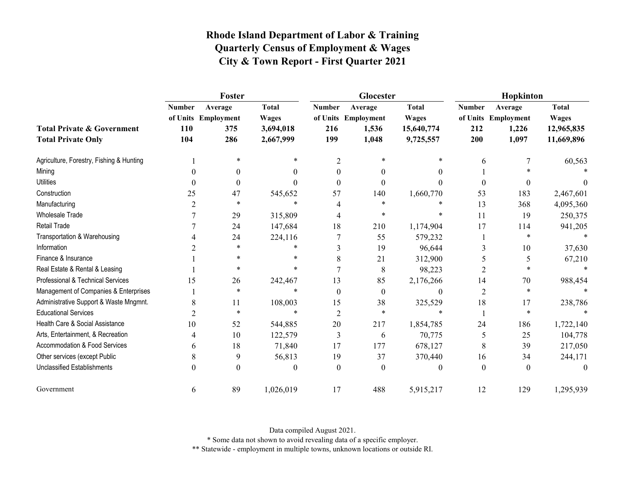|                                                                    | Foster                      |                                              |                                                        |                             | Glocester                                        |                                                         | Hopkinton                   |                                                  |                                                          |
|--------------------------------------------------------------------|-----------------------------|----------------------------------------------|--------------------------------------------------------|-----------------------------|--------------------------------------------------|---------------------------------------------------------|-----------------------------|--------------------------------------------------|----------------------------------------------------------|
| <b>Total Private &amp; Government</b><br><b>Total Private Only</b> | <b>Number</b><br>110<br>104 | Average<br>of Units Employment<br>375<br>286 | <b>Total</b><br><b>Wages</b><br>3,694,018<br>2,667,999 | <b>Number</b><br>216<br>199 | Average<br>of Units Employment<br>1,536<br>1,048 | <b>Total</b><br><b>Wages</b><br>15,640,774<br>9,725,557 | <b>Number</b><br>212<br>200 | Average<br>of Units Employment<br>1,226<br>1,097 | <b>Total</b><br><b>Wages</b><br>12,965,835<br>11,669,896 |
| Agriculture, Forestry, Fishing & Hunting                           |                             | $\ast$                                       | *                                                      | $\overline{2}$              | $\ast$                                           | $\ast$                                                  | 6                           |                                                  | 60,563                                                   |
| Mining                                                             |                             | 0                                            | $\theta$                                               | $\theta$                    | $\theta$                                         | $\Omega$                                                |                             |                                                  |                                                          |
| <b>Utilities</b>                                                   |                             | $\boldsymbol{0}$                             | 0                                                      | $\theta$                    | $\theta$                                         | 0                                                       | $\theta$                    | $\theta$                                         |                                                          |
| Construction                                                       | 25                          | 47                                           | 545,652                                                | 57                          | 140                                              | 1,660,770                                               | 53                          | 183                                              | 2,467,601                                                |
| Manufacturing                                                      | 2                           | $\ast$                                       | $\ast$                                                 |                             | $\ast$                                           | $\ast$                                                  | 13                          | 368                                              | 4,095,360                                                |
| <b>Wholesale Trade</b>                                             |                             | 29                                           | 315,809                                                |                             | $\ast$                                           | $\ast$                                                  | 11                          | 19                                               | 250,375                                                  |
| <b>Retail Trade</b>                                                |                             | 24                                           | 147,684                                                | 18                          | 210                                              | 1,174,904                                               | 17                          | 114                                              | 941,205                                                  |
| Transportation & Warehousing                                       |                             | 24                                           | 224,116                                                |                             | 55                                               | 579,232                                                 |                             | $\ast$                                           | $\ast$                                                   |
| Information                                                        |                             | $\ast$                                       | $\ast$                                                 |                             | 19                                               | 96,644                                                  | 3                           | 10                                               | 37,630                                                   |
| Finance & Insurance                                                |                             | $\ast$                                       | *                                                      | 8                           | 21                                               | 312,900                                                 |                             | 5                                                | 67,210                                                   |
| Real Estate & Rental & Leasing                                     |                             | $\ast$                                       | $\ast$                                                 |                             | $8\,$                                            | 98,223                                                  | 2                           |                                                  | $\ast$                                                   |
| Professional & Technical Services                                  | 15                          | 26                                           | 242,467                                                | 13                          | 85                                               | 2,176,266                                               | 14                          | 70                                               | 988,454                                                  |
| Management of Companies & Enterprises                              |                             | $\ast$                                       | $\ast$                                                 | $\Omega$                    | $\Omega$                                         | $\theta$                                                | $\overline{2}$              | $\ast$                                           |                                                          |
| Administrative Support & Waste Mngmnt.                             | 8                           | 11                                           | 108,003                                                | 15                          | 38                                               | 325,529                                                 | 18                          | 17                                               | 238,786                                                  |
| <b>Educational Services</b>                                        |                             | $\ast$                                       | $\ast$                                                 | $\overline{2}$              | $\ast$                                           | $\ast$                                                  |                             | $\ast$                                           |                                                          |
| Health Care & Social Assistance                                    | 10                          | 52                                           | 544,885                                                | 20                          | 217                                              | 1,854,785                                               | 24                          | 186                                              | 1,722,140                                                |
| Arts, Entertainment, & Recreation                                  |                             | 10                                           | 122,579                                                | 3                           | 6                                                | 70,775                                                  | 5                           | 25                                               | 104,778                                                  |
| Accommodation & Food Services                                      | 6                           | 18                                           | 71,840                                                 | 17                          | 177                                              | 678,127                                                 | 8                           | 39                                               | 217,050                                                  |
| Other services (except Public                                      | 8                           | 9                                            | 56,813                                                 | 19                          | 37                                               | 370,440                                                 | 16                          | 34                                               | 244,171                                                  |
| <b>Unclassified Establishments</b>                                 | $\Omega$                    | $\Omega$                                     | 0                                                      | $\Omega$                    | $\Omega$                                         | $\theta$                                                | $\theta$                    | $\theta$                                         | $\Omega$                                                 |
| Government                                                         | 6                           | 89                                           | 1,026,019                                              | 17                          | 488                                              | 5,915,217                                               | 12                          | 129                                              | 1,295,939                                                |

Data compiled August 2021.

\* Some data not shown to avoid revealing data of a specific employer.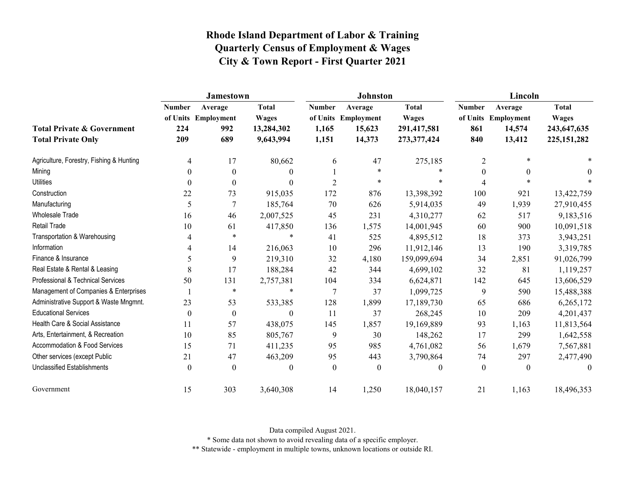|                                                                    | <b>Jamestown</b>            |                                              |                                                         |                                 | <b>Johnston</b>                                    |                                                            | Lincoln                     |                                                    |                                                              |
|--------------------------------------------------------------------|-----------------------------|----------------------------------------------|---------------------------------------------------------|---------------------------------|----------------------------------------------------|------------------------------------------------------------|-----------------------------|----------------------------------------------------|--------------------------------------------------------------|
| <b>Total Private &amp; Government</b><br><b>Total Private Only</b> | <b>Number</b><br>224<br>209 | Average<br>of Units Employment<br>992<br>689 | <b>Total</b><br><b>Wages</b><br>13,284,302<br>9,643,994 | <b>Number</b><br>1,165<br>1,151 | Average<br>of Units Employment<br>15,623<br>14,373 | <b>Total</b><br><b>Wages</b><br>291,417,581<br>273,377,424 | <b>Number</b><br>861<br>840 | Average<br>of Units Employment<br>14,574<br>13,412 | <b>Total</b><br><b>Wages</b><br>243,647,635<br>225, 151, 282 |
| Agriculture, Forestry, Fishing & Hunting                           | 4                           | 17                                           | 80,662                                                  | 6                               | 47                                                 | 275,185                                                    | $\overline{2}$              | $\ast$                                             |                                                              |
| Mining                                                             | 0                           | $\theta$                                     | $\theta$                                                |                                 | $\ast$                                             | $\ast$                                                     | $\overline{0}$              | $\Omega$                                           | $\Omega$                                                     |
| <b>Utilities</b>                                                   | 0                           | $\boldsymbol{0}$                             | $\theta$                                                | $\overline{2}$                  | $\ast$                                             | *                                                          | 4                           | $\ast$                                             |                                                              |
| Construction                                                       | 22                          | 73                                           | 915,035                                                 | 172                             | 876                                                | 13,398,392                                                 | 100                         | 921                                                | 13,422,759                                                   |
| Manufacturing                                                      | 5                           |                                              | 185,764                                                 | 70                              | 626                                                | 5,914,035                                                  | 49                          | 1,939                                              | 27,910,455                                                   |
| Wholesale Trade                                                    | 16                          | 46                                           | 2,007,525                                               | 45                              | 231                                                | 4,310,277                                                  | 62                          | 517                                                | 9,183,516                                                    |
| <b>Retail Trade</b>                                                | 10                          | 61                                           | 417,850                                                 | 136                             | 1,575                                              | 14,001,945                                                 | 60                          | 900                                                | 10,091,518                                                   |
| Transportation & Warehousing                                       | 4                           | $\ast$                                       | $\ast$                                                  | 41                              | 525                                                | 4,895,512                                                  | 18                          | 373                                                | 3,943,251                                                    |
| Information                                                        | 4                           | 14                                           | 216,063                                                 | 10                              | 296                                                | 11,912,146                                                 | 13                          | 190                                                | 3,319,785                                                    |
| Finance & Insurance                                                | 5                           | 9                                            | 219,310                                                 | 32                              | 4,180                                              | 159,099,694                                                | 34                          | 2,851                                              | 91,026,799                                                   |
| Real Estate & Rental & Leasing                                     | 8                           | 17                                           | 188,284                                                 | 42                              | 344                                                | 4,699,102                                                  | 32                          | 81                                                 | 1,119,257                                                    |
| Professional & Technical Services                                  | 50                          | 131                                          | 2,757,381                                               | 104                             | 334                                                | 6,624,871                                                  | 142                         | 645                                                | 13,606,529                                                   |
| Management of Companies & Enterprises                              |                             | $\ast$                                       | $\ast$                                                  | 7                               | 37                                                 | 1,099,725                                                  | 9                           | 590                                                | 15,488,388                                                   |
| Administrative Support & Waste Mngmnt.                             | 23                          | 53                                           | 533,385                                                 | 128                             | 1,899                                              | 17,189,730                                                 | 65                          | 686                                                | 6,265,172                                                    |
| <b>Educational Services</b>                                        | $\theta$                    | $\mathbf{0}$                                 | $\theta$                                                | 11                              | 37                                                 | 268,245                                                    | 10                          | 209                                                | 4,201,437                                                    |
| Health Care & Social Assistance                                    | 11                          | 57                                           | 438,075                                                 | 145                             | 1,857                                              | 19,169,889                                                 | 93                          | 1,163                                              | 11,813,564                                                   |
| Arts, Entertainment, & Recreation                                  | 10                          | 85                                           | 805,767                                                 | 9                               | 30                                                 | 148,262                                                    | 17                          | 299                                                | 1,642,558                                                    |
| Accommodation & Food Services                                      | 15                          | 71                                           | 411,235                                                 | 95                              | 985                                                | 4,761,082                                                  | 56                          | 1,679                                              | 7,567,881                                                    |
| Other services (except Public                                      | 21                          | 47                                           | 463,209                                                 | 95                              | 443                                                | 3,790,864                                                  | 74                          | 297                                                | 2,477,490                                                    |
| <b>Unclassified Establishments</b>                                 | $\theta$                    | $\theta$                                     | $\boldsymbol{0}$                                        | $\boldsymbol{0}$                | $\boldsymbol{0}$                                   | $\mathbf{0}$                                               | $\mathbf{0}$                | $\theta$                                           | $\theta$                                                     |
| Government                                                         | 15                          | 303                                          | 3,640,308                                               | 14                              | 1,250                                              | 18,040,157                                                 | 21                          | 1,163                                              | 18,496,353                                                   |

Data compiled August 2021.

\* Some data not shown to avoid revealing data of a specific employer.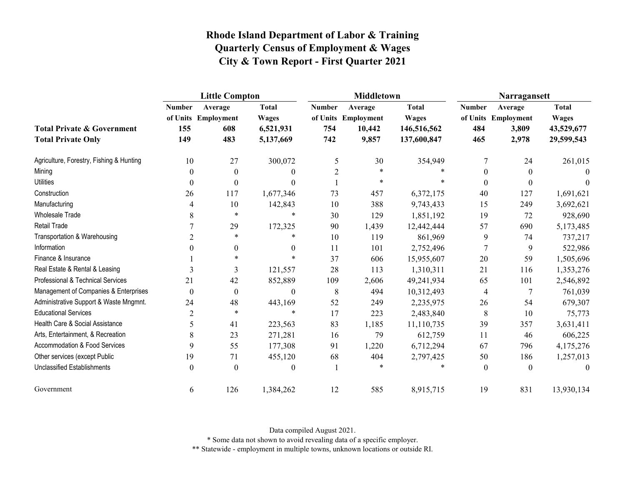|                                                                    | <b>Little Compton</b>       |                                              |                                                        |                             | Middletown                                        |                                                            | Narragansett                |                                                  |                                                          |
|--------------------------------------------------------------------|-----------------------------|----------------------------------------------|--------------------------------------------------------|-----------------------------|---------------------------------------------------|------------------------------------------------------------|-----------------------------|--------------------------------------------------|----------------------------------------------------------|
| <b>Total Private &amp; Government</b><br><b>Total Private Only</b> | <b>Number</b><br>155<br>149 | Average<br>of Units Employment<br>608<br>483 | <b>Total</b><br><b>Wages</b><br>6,521,931<br>5,137,669 | <b>Number</b><br>754<br>742 | Average<br>of Units Employment<br>10,442<br>9,857 | <b>Total</b><br><b>Wages</b><br>146,516,562<br>137,600,847 | <b>Number</b><br>484<br>465 | Average<br>of Units Employment<br>3,809<br>2,978 | <b>Total</b><br><b>Wages</b><br>43,529,677<br>29,599,543 |
| Agriculture, Forestry, Fishing & Hunting                           | 10                          | 27                                           | 300,072                                                | 5                           | 30                                                | 354,949                                                    | 7                           | 24                                               | 261,015                                                  |
| Mining                                                             | $\theta$                    | $\boldsymbol{0}$                             | $\Omega$                                               | 2                           | $\ast$                                            |                                                            | $\Omega$                    | $\mathbf{0}$                                     | $\Omega$                                                 |
| <b>Utilities</b>                                                   | $\boldsymbol{0}$            | $\boldsymbol{0}$                             | $\Omega$                                               |                             | $\ast$                                            | $\ast$                                                     | $\boldsymbol{0}$            | $\boldsymbol{0}$                                 |                                                          |
| Construction                                                       | 26                          | 117                                          | 1,677,346                                              | 73                          | 457                                               | 6,372,175                                                  | 40                          | 127                                              | 1,691,621                                                |
| Manufacturing                                                      | 4                           | 10                                           | 142,843                                                | 10                          | 388                                               | 9,743,433                                                  | 15                          | 249                                              | 3,692,621                                                |
| Wholesale Trade                                                    | 8                           | $\ast$                                       | $\ast$                                                 | 30                          | 129                                               | 1,851,192                                                  | 19                          | 72                                               | 928,690                                                  |
| <b>Retail Trade</b>                                                |                             | 29                                           | 172,325                                                | 90                          | 1,439                                             | 12,442,444                                                 | 57                          | 690                                              | 5,173,485                                                |
| Transportation & Warehousing                                       | 2                           | $\ast$                                       | *                                                      | 10                          | 119                                               | 861,969                                                    | 9                           | 74                                               | 737,217                                                  |
| Information                                                        | 0                           | $\boldsymbol{0}$                             | $\theta$                                               | 11                          | 101                                               | 2,752,496                                                  | 7                           | 9                                                | 522,986                                                  |
| Finance & Insurance                                                |                             | $\ast$                                       | $\ast$                                                 | 37                          | 606                                               | 15,955,607                                                 | 20                          | 59                                               | 1,505,696                                                |
| Real Estate & Rental & Leasing                                     | 3                           | 3                                            | 121,557                                                | 28                          | 113                                               | 1,310,311                                                  | 21                          | 116                                              | 1,353,276                                                |
| <b>Professional &amp; Technical Services</b>                       | 21                          | 42                                           | 852,889                                                | 109                         | 2,606                                             | 49,241,934                                                 | 65                          | 101                                              | 2,546,892                                                |
| Management of Companies & Enterprises                              | $\theta$                    | $\boldsymbol{0}$                             | $\mathbf{0}$                                           | 8                           | 494                                               | 10,312,493                                                 | 4                           | 7                                                | 761,039                                                  |
| Administrative Support & Waste Mngmnt.                             | 24                          | 48                                           | 443,169                                                | 52                          | 249                                               | 2,235,975                                                  | 26                          | 54                                               | 679,307                                                  |
| <b>Educational Services</b>                                        | $\overline{2}$              | $\ast$                                       | $\ast$                                                 | 17                          | 223                                               | 2,483,840                                                  | 8                           | 10                                               | 75,773                                                   |
| Health Care & Social Assistance                                    | 5                           | 41                                           | 223,563                                                | 83                          | 1,185                                             | 11,110,735                                                 | 39                          | 357                                              | 3,631,411                                                |
| Arts, Entertainment, & Recreation                                  | 8                           | 23                                           | 271,281                                                | 16                          | 79                                                | 612,759                                                    | 11                          | 46                                               | 606,225                                                  |
| Accommodation & Food Services                                      | 9                           | 55                                           | 177,308                                                | 91                          | 1,220                                             | 6,712,294                                                  | 67                          | 796                                              | 4,175,276                                                |
| Other services (except Public                                      | 19                          | 71                                           | 455,120                                                | 68                          | 404                                               | 2,797,425                                                  | 50                          | 186                                              | 1,257,013                                                |
| <b>Unclassified Establishments</b>                                 | $\boldsymbol{0}$            | $\boldsymbol{0}$                             | $\theta$                                               | $\mathbf{1}$                |                                                   | $\ast$                                                     | $\boldsymbol{0}$            | $\theta$                                         | $\theta$                                                 |
| Government                                                         | 6                           | 126                                          | 1,384,262                                              | 12                          | 585                                               | 8,915,715                                                  | 19                          | 831                                              | 13,930,134                                               |

Data compiled August 2021.

\* Some data not shown to avoid revealing data of a specific employer.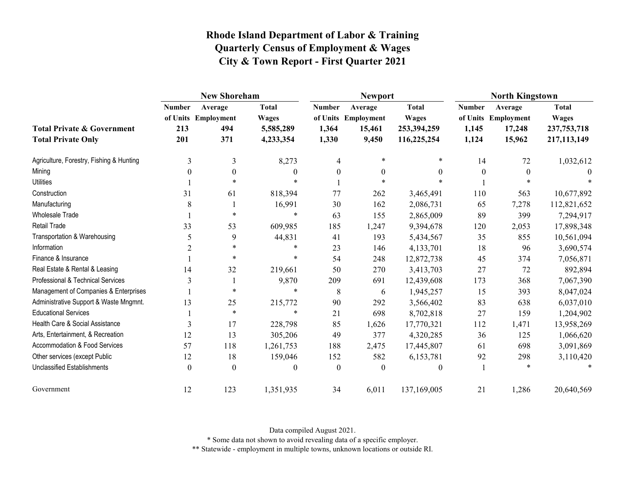|                                                                    | <b>New Shoreham</b>         |                                              |                                                        |                                 | <b>Newport</b>                                    |                                                            | <b>North Kingstown</b>          |                                                    |                                                              |
|--------------------------------------------------------------------|-----------------------------|----------------------------------------------|--------------------------------------------------------|---------------------------------|---------------------------------------------------|------------------------------------------------------------|---------------------------------|----------------------------------------------------|--------------------------------------------------------------|
| <b>Total Private &amp; Government</b><br><b>Total Private Only</b> | <b>Number</b><br>213<br>201 | Average<br>of Units Employment<br>494<br>371 | <b>Total</b><br><b>Wages</b><br>5,585,289<br>4,233,354 | <b>Number</b><br>1,364<br>1,330 | Average<br>of Units Employment<br>15,461<br>9,450 | <b>Total</b><br><b>Wages</b><br>253,394,259<br>116,225,254 | <b>Number</b><br>1,145<br>1,124 | Average<br>of Units Employment<br>17,248<br>15,962 | <b>Total</b><br><b>Wages</b><br>237, 753, 718<br>217,113,149 |
| Agriculture, Forestry, Fishing & Hunting                           | 3                           | 3                                            | 8,273                                                  | 4                               | $\ast$                                            | *                                                          | 14                              | 72                                                 | 1,032,612                                                    |
| Mining                                                             | 0                           | $\Omega$                                     | 0                                                      | $\theta$                        | $\boldsymbol{0}$                                  | $\theta$                                                   | $\theta$                        | $\theta$                                           | $\theta$                                                     |
| <b>Utilities</b>                                                   |                             | $\ast$                                       | $\ast$                                                 |                                 | $\ast$                                            |                                                            |                                 |                                                    |                                                              |
| Construction                                                       | 31                          | 61                                           | 818,394                                                | 77                              | 262                                               | 3,465,491                                                  | 110                             | 563                                                | 10,677,892                                                   |
| Manufacturing                                                      | 8                           |                                              | 16,991                                                 | 30                              | 162                                               | 2,086,731                                                  | 65                              | 7,278                                              | 112,821,652                                                  |
| <b>Wholesale Trade</b>                                             |                             | $\ast$                                       | *                                                      | 63                              | 155                                               | 2,865,009                                                  | 89                              | 399                                                | 7,294,917                                                    |
| Retail Trade                                                       | 33                          | 53                                           | 609,985                                                | 185                             | 1,247                                             | 9,394,678                                                  | 120                             | 2,053                                              | 17,898,348                                                   |
| Transportation & Warehousing                                       | 5                           | 9                                            | 44,831                                                 | 41                              | 193                                               | 5,434,567                                                  | 35                              | 855                                                | 10,561,094                                                   |
| Information                                                        | $\overline{2}$              | $\ast$                                       | $\ast$                                                 | 23                              | 146                                               | 4,133,701                                                  | 18                              | 96                                                 | 3,690,574                                                    |
| Finance & Insurance                                                |                             | $\ast$                                       | $\ast$                                                 | 54                              | 248                                               | 12,872,738                                                 | 45                              | 374                                                | 7,056,871                                                    |
| Real Estate & Rental & Leasing                                     | 14                          | 32                                           | 219,661                                                | 50                              | 270                                               | 3,413,703                                                  | 27                              | 72                                                 | 892,894                                                      |
| Professional & Technical Services                                  | 3                           |                                              | 9,870                                                  | 209                             | 691                                               | 12,439,608                                                 | 173                             | 368                                                | 7,067,390                                                    |
| Management of Companies & Enterprises                              |                             | $\ast$                                       | $\ast$                                                 | 8                               | 6                                                 | 1,945,257                                                  | 15                              | 393                                                | 8,047,024                                                    |
| Administrative Support & Waste Mngmnt.                             | 13                          | 25                                           | 215,772                                                | 90                              | 292                                               | 3,566,402                                                  | 83                              | 638                                                | 6,037,010                                                    |
| <b>Educational Services</b>                                        |                             | $\ast$                                       | $\star$                                                | 21                              | 698                                               | 8,702,818                                                  | 27                              | 159                                                | 1,204,902                                                    |
| Health Care & Social Assistance                                    | 3                           | 17                                           | 228,798                                                | 85                              | 1,626                                             | 17,770,321                                                 | 112                             | 1,471                                              | 13,958,269                                                   |
| Arts, Entertainment, & Recreation                                  | 12                          | 13                                           | 305,206                                                | 49                              | 377                                               | 4,320,285                                                  | 36                              | 125                                                | 1,066,620                                                    |
| Accommodation & Food Services                                      | 57                          | 118                                          | 1,261,753                                              | 188                             | 2,475                                             | 17,445,807                                                 | 61                              | 698                                                | 3,091,869                                                    |
| Other services (except Public                                      | 12                          | 18                                           | 159,046                                                | 152                             | 582                                               | 6,153,781                                                  | 92                              | 298                                                | 3,110,420                                                    |
| Unclassified Establishments                                        | $\theta$                    | $\theta$                                     | 0                                                      | $\theta$                        | $\theta$                                          | $\boldsymbol{0}$                                           |                                 | $\ast$                                             |                                                              |
| Government                                                         | 12                          | 123                                          | 1,351,935                                              | 34                              | 6,011                                             | 137,169,005                                                | 21                              | 1,286                                              | 20,640,569                                                   |

Data compiled August 2021.

\* Some data not shown to avoid revealing data of a specific employer.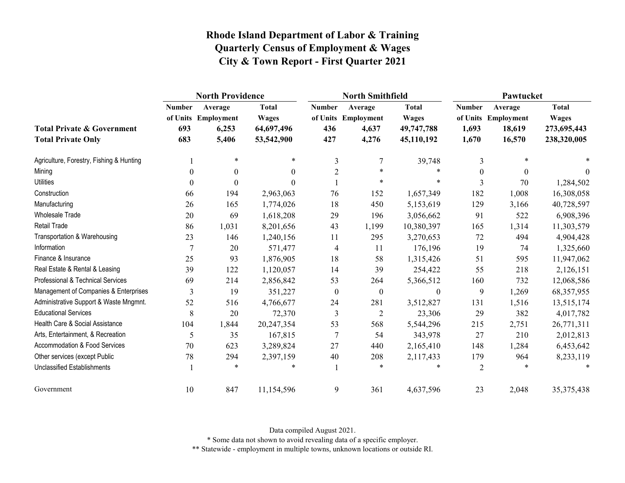|                                                                    | <b>North Providence</b>     |                                                  |                                                          |                             | <b>North Smithfield</b>                          |                                                          | Pawtucket                       |                                                    |                                                            |  |
|--------------------------------------------------------------------|-----------------------------|--------------------------------------------------|----------------------------------------------------------|-----------------------------|--------------------------------------------------|----------------------------------------------------------|---------------------------------|----------------------------------------------------|------------------------------------------------------------|--|
| <b>Total Private &amp; Government</b><br><b>Total Private Only</b> | <b>Number</b><br>693<br>683 | Average<br>of Units Employment<br>6,253<br>5,406 | <b>Total</b><br><b>Wages</b><br>64,697,496<br>53,542,900 | <b>Number</b><br>436<br>427 | Average<br>of Units Employment<br>4,637<br>4,276 | <b>Total</b><br><b>Wages</b><br>49,747,788<br>45,110,192 | <b>Number</b><br>1,693<br>1,670 | Average<br>of Units Employment<br>18,619<br>16,570 | <b>Total</b><br><b>Wages</b><br>273,695,443<br>238,320,005 |  |
| Agriculture, Forestry, Fishing & Hunting                           |                             | $\star$                                          | $\ast$                                                   | 3                           | 7                                                | 39,748                                                   | 3                               | $\ast$                                             |                                                            |  |
| Mining                                                             | $\theta$                    | $\boldsymbol{0}$                                 | $\Omega$                                                 | 2                           | $\ast$                                           | $\ast$                                                   | $\Omega$                        | $\Omega$                                           | $\Omega$                                                   |  |
| <b>Utilities</b>                                                   | $\boldsymbol{0}$            | $\boldsymbol{0}$                                 | 0                                                        |                             | $\star$                                          | $\ast$                                                   | 3                               | 70                                                 | 1,284,502                                                  |  |
| Construction                                                       | 66                          | 194                                              | 2,963,063                                                | 76                          | 152                                              | 1,657,349                                                | 182                             | 1,008                                              | 16,308,058                                                 |  |
| Manufacturing                                                      | 26                          | 165                                              | 1,774,026                                                | 18                          | 450                                              | 5,153,619                                                | 129                             | 3,166                                              | 40,728,597                                                 |  |
| Wholesale Trade                                                    | 20                          | 69                                               | 1,618,208                                                | 29                          | 196                                              | 3,056,662                                                | 91                              | 522                                                | 6,908,396                                                  |  |
| <b>Retail Trade</b>                                                | 86                          | 1,031                                            | 8,201,656                                                | 43                          | 1,199                                            | 10,380,397                                               | 165                             | 1,314                                              | 11,303,579                                                 |  |
| Transportation & Warehousing                                       | 23                          | 146                                              | 1,240,156                                                | 11                          | 295                                              | 3,270,653                                                | $72\,$                          | 494                                                | 4,904,428                                                  |  |
| Information                                                        | 7                           | 20                                               | 571,477                                                  | 4                           | 11                                               | 176,196                                                  | 19                              | 74                                                 | 1,325,660                                                  |  |
| Finance & Insurance                                                | 25                          | 93                                               | 1,876,905                                                | 18                          | 58                                               | 1,315,426                                                | 51                              | 595                                                | 11,947,062                                                 |  |
| Real Estate & Rental & Leasing                                     | 39                          | 122                                              | 1,120,057                                                | 14                          | 39                                               | 254,422                                                  | 55                              | 218                                                | 2,126,151                                                  |  |
| Professional & Technical Services                                  | 69                          | 214                                              | 2,856,842                                                | 53                          | 264                                              | 5,366,512                                                | 160                             | 732                                                | 12,068,586                                                 |  |
| Management of Companies & Enterprises                              | 3                           | 19                                               | 351,227                                                  | $\boldsymbol{0}$            | $\boldsymbol{0}$                                 | $\boldsymbol{0}$                                         | 9                               | 1,269                                              | 68, 357, 955                                               |  |
| Administrative Support & Waste Mngmnt.                             | 52                          | 516                                              | 4,766,677                                                | 24                          | 281                                              | 3,512,827                                                | 131                             | 1,516                                              | 13,515,174                                                 |  |
| <b>Educational Services</b>                                        | $\,8\,$                     | 20                                               | 72,370                                                   | 3                           | $\overline{2}$                                   | 23,306                                                   | 29                              | 382                                                | 4,017,782                                                  |  |
| Health Care & Social Assistance                                    | 104                         | 1,844                                            | 20,247,354                                               | 53                          | 568                                              | 5,544,296                                                | 215                             | 2,751                                              | 26,771,311                                                 |  |
| Arts, Entertainment, & Recreation                                  | 5                           | 35                                               | 167,815                                                  | $\tau$                      | 54                                               | 343,978                                                  | 27                              | 210                                                | 2,012,813                                                  |  |
| Accommodation & Food Services                                      | 70                          | 623                                              | 3,289,824                                                | 27                          | 440                                              | 2,165,410                                                | 148                             | 1,284                                              | 6,453,642                                                  |  |
| Other services (except Public                                      | 78                          | 294                                              | 2,397,159                                                | 40                          | 208                                              | 2,117,433                                                | 179                             | 964                                                | 8,233,119                                                  |  |
| <b>Unclassified Establishments</b>                                 |                             | $\ast$                                           |                                                          |                             | *                                                | $\ast$                                                   | 2                               |                                                    |                                                            |  |
| Government                                                         | 10                          | 847                                              | 11,154,596                                               | 9                           | 361                                              | 4,637,596                                                | 23                              | 2,048                                              | 35, 375, 438                                               |  |

Data compiled August 2021.

\* Some data not shown to avoid revealing data of a specific employer.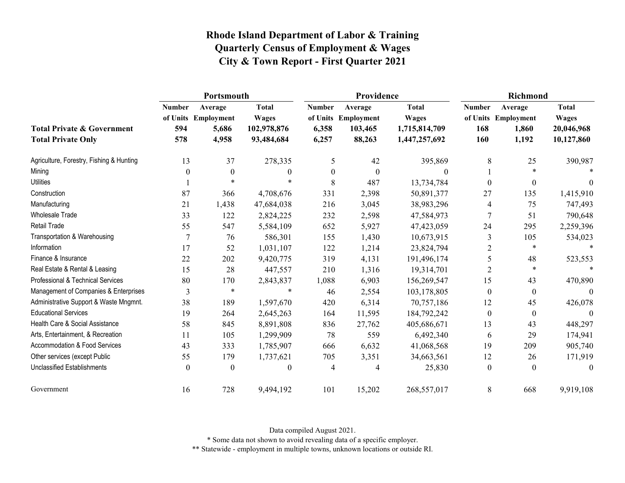|                                                                    | Portsmouth                  |                                                  |                                                           |                                 | Providence                                          |                                                                | <b>Richmond</b>             |                                                  |                                                          |
|--------------------------------------------------------------------|-----------------------------|--------------------------------------------------|-----------------------------------------------------------|---------------------------------|-----------------------------------------------------|----------------------------------------------------------------|-----------------------------|--------------------------------------------------|----------------------------------------------------------|
| <b>Total Private &amp; Government</b><br><b>Total Private Only</b> | <b>Number</b><br>594<br>578 | Average<br>of Units Employment<br>5,686<br>4,958 | <b>Total</b><br><b>Wages</b><br>102,978,876<br>93,484,684 | <b>Number</b><br>6,358<br>6,257 | Average<br>of Units Employment<br>103,465<br>88,263 | <b>Total</b><br><b>Wages</b><br>1,715,814,709<br>1,447,257,692 | <b>Number</b><br>168<br>160 | Average<br>of Units Employment<br>1,860<br>1,192 | <b>Total</b><br><b>Wages</b><br>20,046,968<br>10,127,860 |
| Agriculture, Forestry, Fishing & Hunting                           | 13                          | 37                                               | 278,335                                                   | 5                               | 42                                                  | 395,869                                                        | 8                           | 25                                               | 390,987                                                  |
| Mining                                                             | $\theta$                    | $\mathbf{0}$                                     | $\theta$                                                  | $\boldsymbol{0}$                | $\theta$                                            | 0                                                              |                             | $*$                                              |                                                          |
| <b>Utilities</b>                                                   |                             | $\ast$                                           | $\ast$                                                    | 8                               | 487                                                 | 13,734,784                                                     | $\theta$                    | $\boldsymbol{0}$                                 | 0                                                        |
| Construction                                                       | 87                          | 366                                              | 4,708,676                                                 | 331                             | 2,398                                               | 50,891,377                                                     | 27                          | 135                                              | 1,415,910                                                |
| Manufacturing                                                      | 21                          | 1,438                                            | 47,684,038                                                | 216                             | 3,045                                               | 38,983,296                                                     | 4                           | 75                                               | 747,493                                                  |
| Wholesale Trade                                                    | 33                          | 122                                              | 2,824,225                                                 | 232                             | 2,598                                               | 47,584,973                                                     | $\overline{7}$              | 51                                               | 790,648                                                  |
| Retail Trade                                                       | 55                          | 547                                              | 5,584,109                                                 | 652                             | 5,927                                               | 47,423,059                                                     | 24                          | 295                                              | 2,259,396                                                |
| Transportation & Warehousing                                       |                             | 76                                               | 586,301                                                   | 155                             | 1,430                                               | 10,673,915                                                     | 3                           | 105                                              | 534,023                                                  |
| Information                                                        | 17                          | 52                                               | 1,031,107                                                 | 122                             | 1,214                                               | 23,824,794                                                     | $\overline{2}$              | $\ast$                                           |                                                          |
| Finance & Insurance                                                | 22                          | 202                                              | 9,420,775                                                 | 319                             | 4,131                                               | 191,496,174                                                    | 5                           | 48                                               | 523,553                                                  |
| Real Estate & Rental & Leasing                                     | 15                          | 28                                               | 447,557                                                   | 210                             | 1,316                                               | 19,314,701                                                     | $\overline{2}$              | $\ast$                                           | $\ast$                                                   |
| Professional & Technical Services                                  | 80                          | 170                                              | 2,843,837                                                 | 1,088                           | 6,903                                               | 156,269,547                                                    | 15                          | 43                                               | 470,890                                                  |
| Management of Companies & Enterprises                              | 3                           | $\ast$                                           | *                                                         | 46                              | 2,554                                               | 103,178,805                                                    | $\boldsymbol{0}$            | $\mathbf{0}$                                     | $\theta$                                                 |
| Administrative Support & Waste Mngmnt.                             | 38                          | 189                                              | 1,597,670                                                 | 420                             | 6,314                                               | 70,757,186                                                     | 12                          | 45                                               | 426,078                                                  |
| <b>Educational Services</b>                                        | 19                          | 264                                              | 2,645,263                                                 | 164                             | 11,595                                              | 184,792,242                                                    | $\boldsymbol{0}$            | $\boldsymbol{0}$                                 | $\Omega$                                                 |
| Health Care & Social Assistance                                    | 58                          | 845                                              | 8,891,808                                                 | 836                             | 27,762                                              | 405,686,671                                                    | 13                          | 43                                               | 448,297                                                  |
| Arts, Entertainment, & Recreation                                  | 11                          | 105                                              | 1,299,909                                                 | 78                              | 559                                                 | 6,492,340                                                      | 6                           | 29                                               | 174,941                                                  |
| Accommodation & Food Services                                      | 43                          | 333                                              | 1,785,907                                                 | 666                             | 6,632                                               | 41,068,568                                                     | 19                          | 209                                              | 905,740                                                  |
| Other services (except Public                                      | 55                          | 179                                              | 1,737,621                                                 | 705                             | 3,351                                               | 34,663,561                                                     | 12                          | 26                                               | 171,919                                                  |
| <b>Unclassified Establishments</b>                                 | $\theta$                    | $\mathbf{0}$                                     | $\theta$                                                  | $\overline{4}$                  | 4                                                   | 25,830                                                         | $\boldsymbol{0}$            | $\theta$                                         | $\theta$                                                 |
| Government                                                         | 16                          | 728                                              | 9,494,192                                                 | 101                             | 15,202                                              | 268,557,017                                                    | 8                           | 668                                              | 9,919,108                                                |

Data compiled August 2021.

\* Some data not shown to avoid revealing data of a specific employer.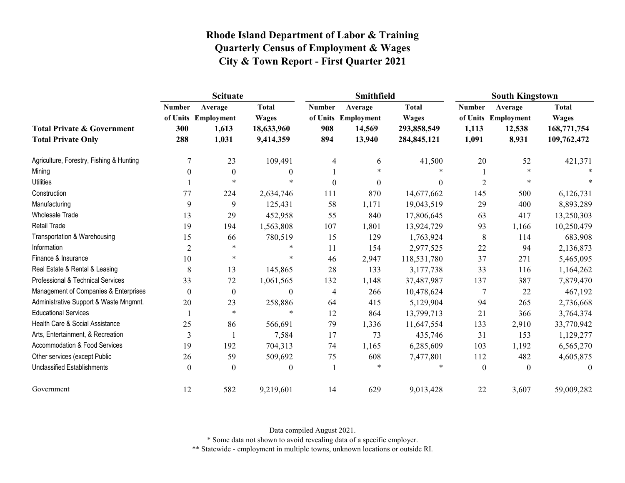|                                                                    | <b>Scituate</b>             |                                                  |                                                         |                             | Smithfield                                         |                                                              | <b>South Kingstown</b>          |                                                   |                                                            |
|--------------------------------------------------------------------|-----------------------------|--------------------------------------------------|---------------------------------------------------------|-----------------------------|----------------------------------------------------|--------------------------------------------------------------|---------------------------------|---------------------------------------------------|------------------------------------------------------------|
| <b>Total Private &amp; Government</b><br><b>Total Private Only</b> | <b>Number</b><br>300<br>288 | Average<br>of Units Employment<br>1,613<br>1,031 | <b>Total</b><br><b>Wages</b><br>18,633,960<br>9,414,359 | <b>Number</b><br>908<br>894 | Average<br>of Units Employment<br>14,569<br>13,940 | <b>Total</b><br><b>Wages</b><br>293,858,549<br>284, 845, 121 | <b>Number</b><br>1,113<br>1,091 | Average<br>of Units Employment<br>12,538<br>8,931 | <b>Total</b><br><b>Wages</b><br>168,771,754<br>109,762,472 |
| Agriculture, Forestry, Fishing & Hunting                           | 7                           | 23                                               | 109,491                                                 | 4                           | 6                                                  | 41,500                                                       | 20                              | 52                                                | 421,371                                                    |
| Mining                                                             | 0                           | $\theta$                                         | $\Omega$                                                |                             | $\ast$                                             |                                                              |                                 | $\ast$                                            |                                                            |
| <b>Utilities</b>                                                   |                             | $\ast$                                           | *                                                       | $\boldsymbol{0}$            | $\boldsymbol{0}$                                   | $\boldsymbol{0}$                                             | $\overline{2}$                  | *                                                 |                                                            |
| Construction                                                       | 77                          | 224                                              | 2,634,746                                               | 111                         | 870                                                | 14,677,662                                                   | 145                             | 500                                               | 6,126,731                                                  |
| Manufacturing                                                      | 9                           | 9                                                | 125,431                                                 | 58                          | 1,171                                              | 19,043,519                                                   | 29                              | 400                                               | 8,893,289                                                  |
| <b>Wholesale Trade</b>                                             | 13                          | 29                                               | 452,958                                                 | 55                          | 840                                                | 17,806,645                                                   | 63                              | 417                                               | 13,250,303                                                 |
| <b>Retail Trade</b>                                                | 19                          | 194                                              | 1,563,808                                               | 107                         | 1,801                                              | 13,924,729                                                   | 93                              | 1,166                                             | 10,250,479                                                 |
| Transportation & Warehousing                                       | 15                          | 66                                               | 780,519                                                 | 15                          | 129                                                | 1,763,924                                                    | 8                               | 114                                               | 683,908                                                    |
| Information                                                        | $\overline{c}$              | *                                                | *                                                       | 11                          | 154                                                | 2,977,525                                                    | 22                              | 94                                                | 2,136,873                                                  |
| Finance & Insurance                                                | 10                          | $\ast$                                           | *                                                       | 46                          | 2,947                                              | 118,531,780                                                  | 37                              | 271                                               | 5,465,095                                                  |
| Real Estate & Rental & Leasing                                     | 8                           | 13                                               | 145,865                                                 | 28                          | 133                                                | 3,177,738                                                    | 33                              | 116                                               | 1,164,262                                                  |
| Professional & Technical Services                                  | 33                          | 72                                               | 1,061,565                                               | 132                         | 1,148                                              | 37,487,987                                                   | 137                             | 387                                               | 7,879,470                                                  |
| Management of Companies & Enterprises                              | 0                           | $\boldsymbol{0}$                                 | $\mathbf{0}$                                            | 4                           | 266                                                | 10,478,624                                                   | 7                               | 22                                                | 467,192                                                    |
| Administrative Support & Waste Mngmnt.                             | 20                          | 23                                               | 258,886                                                 | 64                          | 415                                                | 5,129,904                                                    | 94                              | 265                                               | 2,736,668                                                  |
| <b>Educational Services</b>                                        |                             | $\ast$                                           | $\ast$                                                  | 12                          | 864                                                | 13,799,713                                                   | 21                              | 366                                               | 3,764,374                                                  |
| Health Care & Social Assistance                                    | 25                          | 86                                               | 566,691                                                 | 79                          | 1,336                                              | 11,647,554                                                   | 133                             | 2,910                                             | 33,770,942                                                 |
| Arts, Entertainment, & Recreation                                  | 3                           |                                                  | 7,584                                                   | 17                          | 73                                                 | 435,746                                                      | 31                              | 153                                               | 1,129,277                                                  |
| Accommodation & Food Services                                      | 19                          | 192                                              | 704,313                                                 | 74                          | 1,165                                              | 6,285,609                                                    | 103                             | 1,192                                             | 6,565,270                                                  |
| Other services (except Public                                      | 26                          | 59                                               | 509,692                                                 | 75                          | 608                                                | 7,477,801                                                    | 112                             | 482                                               | 4,605,875                                                  |
| <b>Unclassified Establishments</b>                                 | 0                           | $\theta$                                         | $\mathbf{0}$                                            |                             | $\ast$                                             | $\star$                                                      | $\boldsymbol{0}$                | $\theta$                                          | $\theta$                                                   |
| Government                                                         | 12                          | 582                                              | 9,219,601                                               | 14                          | 629                                                | 9,013,428                                                    | 22                              | 3,607                                             | 59,009,282                                                 |

Data compiled August 2021.

\* Some data not shown to avoid revealing data of a specific employer.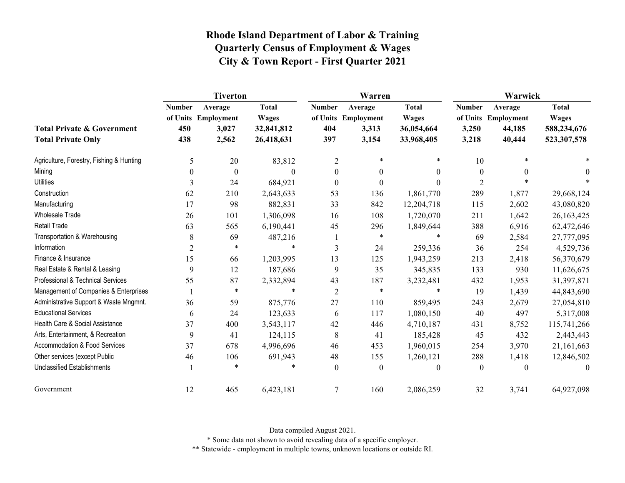|                                                                    | <b>Tiverton</b>             |                                                  |                                                          |                             | Warren                                           |                                                          | Warwick                         |                                                    |                                                            |  |
|--------------------------------------------------------------------|-----------------------------|--------------------------------------------------|----------------------------------------------------------|-----------------------------|--------------------------------------------------|----------------------------------------------------------|---------------------------------|----------------------------------------------------|------------------------------------------------------------|--|
| <b>Total Private &amp; Government</b><br><b>Total Private Only</b> | <b>Number</b><br>450<br>438 | Average<br>of Units Employment<br>3,027<br>2,562 | <b>Total</b><br><b>Wages</b><br>32,841,812<br>26,418,631 | <b>Number</b><br>404<br>397 | Average<br>of Units Employment<br>3,313<br>3,154 | <b>Total</b><br><b>Wages</b><br>36,054,664<br>33,968,405 | <b>Number</b><br>3,250<br>3,218 | Average<br>of Units Employment<br>44,185<br>40,444 | <b>Total</b><br><b>Wages</b><br>588,234,676<br>523,307,578 |  |
| Agriculture, Forestry, Fishing & Hunting                           | 5                           | 20                                               | 83,812                                                   | 2                           | $\ast$                                           |                                                          | 10                              |                                                    |                                                            |  |
| Mining                                                             | $\theta$                    | $\boldsymbol{0}$                                 | $\Omega$                                                 | $\theta$                    | $\mathbf{0}$                                     | $\overline{0}$                                           | $\boldsymbol{0}$                | $\theta$                                           | $\theta$                                                   |  |
| <b>Utilities</b>                                                   | 3                           | 24                                               | 684,921                                                  | $\boldsymbol{0}$            | $\boldsymbol{0}$                                 | $\theta$                                                 | $\overline{2}$                  |                                                    |                                                            |  |
| Construction                                                       | 62                          | 210                                              | 2,643,633                                                | 53                          | 136                                              | 1,861,770                                                | 289                             | 1,877                                              | 29,668,124                                                 |  |
| Manufacturing                                                      | 17                          | 98                                               | 882,831                                                  | 33                          | 842                                              | 12,204,718                                               | 115                             | 2,602                                              | 43,080,820                                                 |  |
| Wholesale Trade                                                    | 26                          | 101                                              | 1,306,098                                                | 16                          | 108                                              | 1,720,070                                                | 211                             | 1,642                                              | 26,163,425                                                 |  |
| Retail Trade                                                       | 63                          | 565                                              | 6,190,441                                                | 45                          | 296                                              | 1,849,644                                                | 388                             | 6,916                                              | 62,472,646                                                 |  |
| Transportation & Warehousing                                       | 8                           | 69                                               | 487,216                                                  |                             | $\ast$                                           | $\ast$                                                   | 69                              | 2,584                                              | 27,777,095                                                 |  |
| Information                                                        | $\overline{2}$              | $\ast$                                           | $\ast$                                                   | 3                           | 24                                               | 259,336                                                  | 36                              | 254                                                | 4,529,736                                                  |  |
| Finance & Insurance                                                | 15                          | 66                                               | 1,203,995                                                | 13                          | 125                                              | 1,943,259                                                | 213                             | 2,418                                              | 56,370,679                                                 |  |
| Real Estate & Rental & Leasing                                     | 9                           | 12                                               | 187,686                                                  | 9                           | 35                                               | 345,835                                                  | 133                             | 930                                                | 11,626,675                                                 |  |
| Professional & Technical Services                                  | 55                          | 87                                               | 2,332,894                                                | 43                          | 187                                              | 3,232,481                                                | 432                             | 1,953                                              | 31,397,871                                                 |  |
| Management of Companies & Enterprises                              |                             | $\star$                                          |                                                          | $\overline{c}$              | $\ast$                                           | $\ast$                                                   | 19                              | 1,439                                              | 44,843,690                                                 |  |
| Administrative Support & Waste Mngmnt.                             | 36                          | 59                                               | 875,776                                                  | 27                          | 110                                              | 859,495                                                  | 243                             | 2,679                                              | 27,054,810                                                 |  |
| <b>Educational Services</b>                                        | 6                           | 24                                               | 123,633                                                  | 6                           | 117                                              | 1,080,150                                                | 40                              | 497                                                | 5,317,008                                                  |  |
| Health Care & Social Assistance                                    | 37                          | 400                                              | 3,543,117                                                | 42                          | 446                                              | 4,710,187                                                | 431                             | 8,752                                              | 115,741,266                                                |  |
| Arts, Entertainment, & Recreation                                  | 9                           | 41                                               | 124,115                                                  | 8                           | 41                                               | 185,428                                                  | 45                              | 432                                                | 2,443,443                                                  |  |
| Accommodation & Food Services                                      | 37                          | 678                                              | 4,996,696                                                | 46                          | 453                                              | 1,960,015                                                | 254                             | 3,970                                              | 21,161,663                                                 |  |
| Other services (except Public                                      | 46                          | 106                                              | 691,943                                                  | 48                          | 155                                              | 1,260,121                                                | 288                             | 1,418                                              | 12,846,502                                                 |  |
| <b>Unclassified Establishments</b>                                 |                             | $\ast$                                           |                                                          | $\boldsymbol{0}$            | $\boldsymbol{0}$                                 | $\theta$                                                 | $\mathbf{0}$                    | 0                                                  | $\theta$                                                   |  |
| Government                                                         | 12                          | 465                                              | 6,423,181                                                | 7                           | 160                                              | 2,086,259                                                | 32                              | 3,741                                              | 64,927,098                                                 |  |

Data compiled August 2021.

\* Some data not shown to avoid revealing data of a specific employer.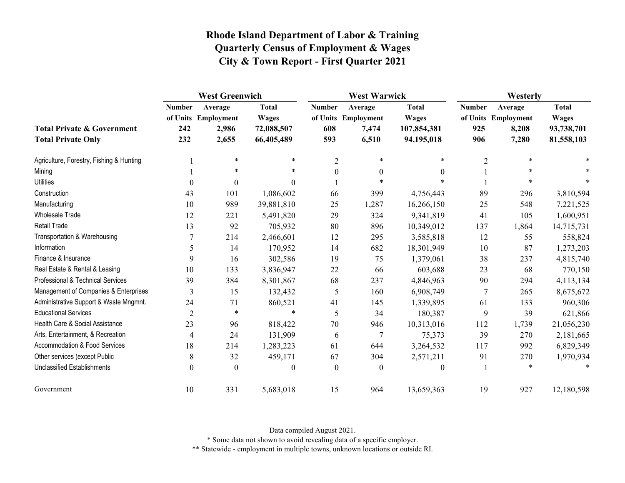|                                                                    | <b>West Greenwich</b>       |                                                  |                                                          | <b>West Warwick</b>         |                                                  |                                                           | Westerly                    |                                                  |                                                          |
|--------------------------------------------------------------------|-----------------------------|--------------------------------------------------|----------------------------------------------------------|-----------------------------|--------------------------------------------------|-----------------------------------------------------------|-----------------------------|--------------------------------------------------|----------------------------------------------------------|
| <b>Total Private &amp; Government</b><br><b>Total Private Only</b> | <b>Number</b><br>242<br>232 | Average<br>of Units Employment<br>2,986<br>2,655 | <b>Total</b><br><b>Wages</b><br>72,088,507<br>66,405,489 | <b>Number</b><br>608<br>593 | Average<br>of Units Employment<br>7,474<br>6,510 | <b>Total</b><br><b>Wages</b><br>107,854,381<br>94,195,018 | <b>Number</b><br>925<br>906 | Average<br>of Units Employment<br>8,208<br>7,280 | <b>Total</b><br><b>Wages</b><br>93,738,701<br>81,558,103 |
| Agriculture, Forestry, Fishing & Hunting                           |                             | $\ast$                                           | $\ast$                                                   | $\overline{2}$              | $\ast$                                           | $\ast$                                                    | $\overline{2}$              | $\ast$                                           |                                                          |
| Mining                                                             |                             | $\ast$                                           | $\ast$                                                   | $\boldsymbol{0}$            | $\theta$                                         | $\theta$                                                  |                             | $*$                                              |                                                          |
| <b>Utilities</b>                                                   | $\boldsymbol{0}$            | $\boldsymbol{0}$                                 | $\theta$                                                 |                             | $\ast$                                           |                                                           |                             | $\ast$                                           |                                                          |
| Construction                                                       | 43                          | 101                                              | 1,086,602                                                | 66                          | 399                                              | 4,756,443                                                 | 89                          | 296                                              | 3,810,594                                                |
| Manufacturing                                                      | 10                          | 989                                              | 39,881,810                                               | 25                          | 1,287                                            | 16,266,150                                                | 25                          | 548                                              | 7,221,525                                                |
| <b>Wholesale Trade</b>                                             | 12                          | 221                                              | 5,491,820                                                | 29                          | 324                                              | 9,341,819                                                 | 41                          | 105                                              | 1,600,951                                                |
| Retail Trade                                                       | 13                          | 92                                               | 705,932                                                  | 80                          | 896                                              | 10,349,012                                                | 137                         | 1,864                                            | 14,715,731                                               |
| Transportation & Warehousing                                       |                             | 214                                              | 2,466,601                                                | 12                          | 295                                              | 3,585,818                                                 | 12                          | 55                                               | 558,824                                                  |
| Information                                                        | 5                           | 14                                               | 170,952                                                  | 14                          | 682                                              | 18,301,949                                                | 10                          | 87                                               | 1,273,203                                                |
| Finance & Insurance                                                | 9                           | 16                                               | 302,586                                                  | 19                          | 75                                               | 1,379,061                                                 | 38                          | 237                                              | 4,815,740                                                |
| Real Estate & Rental & Leasing                                     | 10                          | 133                                              | 3,836,947                                                | 22                          | 66                                               | 603,688                                                   | 23                          | 68                                               | 770,150                                                  |
| <b>Professional &amp; Technical Services</b>                       | 39                          | 384                                              | 8,301,867                                                | 68                          | 237                                              | 4,846,963                                                 | 90                          | 294                                              | 4,113,134                                                |
| Management of Companies & Enterprises                              | 3                           | 15                                               | 132,432                                                  | 5                           | 160                                              | 6,908,749                                                 | 7                           | 265                                              | 8,675,672                                                |
| Administrative Support & Waste Mngmnt.                             | 24                          | 71                                               | 860,521                                                  | 41                          | 145                                              | 1,339,895                                                 | 61                          | 133                                              | 960,306                                                  |
| <b>Educational Services</b>                                        | $\overline{2}$              | $\ast$                                           | $\ast$                                                   | 5                           | 34                                               | 180,387                                                   | 9                           | 39                                               | 621,866                                                  |
| Health Care & Social Assistance                                    | 23                          | 96                                               | 818,422                                                  | 70                          | 946                                              | 10,313,016                                                | 112                         | 1,739                                            | 21,056,230                                               |
| Arts, Entertainment, & Recreation                                  | $\overline{4}$              | 24                                               | 131,909                                                  | 6                           | $\overline{7}$                                   | 75,373                                                    | 39                          | 270                                              | 2,181,665                                                |
| Accommodation & Food Services                                      | 18                          | 214                                              | 1,283,223                                                | 61                          | 644                                              | 3,264,532                                                 | 117                         | 992                                              | 6,829,349                                                |
| Other services (except Public                                      | 8                           | 32                                               | 459,171                                                  | 67                          | 304                                              | 2,571,211                                                 | 91                          | 270                                              | 1,970,934                                                |
| <b>Unclassified Establishments</b>                                 | $\boldsymbol{0}$            | $\boldsymbol{0}$                                 | $\theta$                                                 | $\theta$                    | $\mathbf{0}$                                     | $\theta$                                                  |                             | $\ast$                                           |                                                          |
| Government                                                         | 10                          | 331                                              | 5,683,018                                                | 15                          | 964                                              | 13,659,363                                                | 19                          | 927                                              | 12,180,598                                               |

Data compiled August 2021.

\* Some data not shown to avoid revealing data of a specific employer.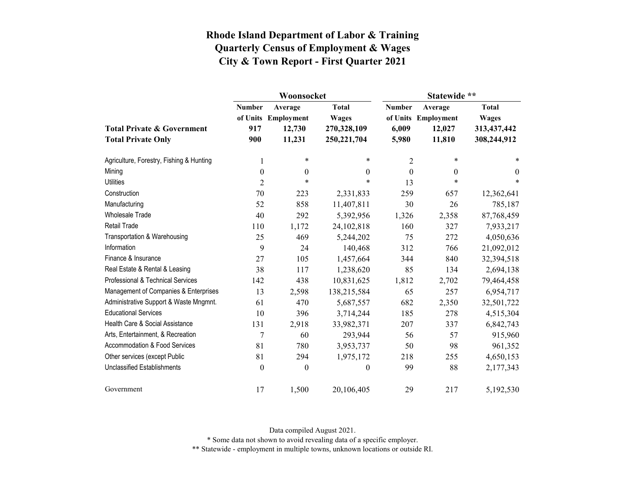|                                          |                  | Woonsocket                     |                              | Statewide **  |                                |                                                            |  |
|------------------------------------------|------------------|--------------------------------|------------------------------|---------------|--------------------------------|------------------------------------------------------------|--|
|                                          | <b>Number</b>    | Average<br>of Units Employment | <b>Total</b><br><b>Wages</b> | <b>Number</b> | Average<br>of Units Employment | <b>Total</b><br><b>Wages</b><br>313,437,442<br>308,244,912 |  |
| <b>Total Private &amp; Government</b>    | 917              | 12,730                         | 270,328,109                  | 6,009         | 12,027                         |                                                            |  |
| <b>Total Private Only</b>                | 900              | 11,231                         | 250, 221, 704                | 5,980         | 11,810                         |                                                            |  |
| Agriculture, Forestry, Fishing & Hunting | 1                | $\ast$                         | $\ast$                       | 2             | $\ast$                         | *                                                          |  |
| Mining                                   | $\boldsymbol{0}$ | $\boldsymbol{0}$               | $\boldsymbol{0}$             | $\theta$      | $\theta$                       | $\boldsymbol{0}$                                           |  |
| <b>Utilities</b>                         | $\overline{2}$   | $\ast$                         | $\ast$                       | 13            | $\ast$                         | $\ast$                                                     |  |
| Construction                             | 70               | 223                            | 2,331,833                    | 259           | 657                            | 12,362,641                                                 |  |
| Manufacturing                            | 52               | 858                            | 11,407,811                   | 30            | 26                             | 785,187                                                    |  |
| <b>Wholesale Trade</b>                   | 40               | 292                            | 5,392,956                    | 1,326         | 2,358                          | 87,768,459                                                 |  |
| <b>Retail Trade</b>                      | 110              | 1,172                          | 24,102,818                   | 160           | 327                            | 7,933,217                                                  |  |
| Transportation & Warehousing             | 25               | 469                            | 5,244,202                    | 75            | 272                            | 4,050,636                                                  |  |
| Information                              | 9                | 24                             | 140,468                      | 312           | 766                            | 21,092,012                                                 |  |
| Finance & Insurance                      | 27               | 105                            | 1,457,664                    | 344           | 840                            | 32,394,518                                                 |  |
| Real Estate & Rental & Leasing           | 38               | 117                            | 1,238,620                    | 85            | 134                            | 2,694,138                                                  |  |
| Professional & Technical Services        | 142              | 438                            | 10,831,625                   | 1,812         | 2,702                          | 79,464,458                                                 |  |
| Management of Companies & Enterprises    | 13               | 2,598                          | 138,215,584                  | 65            | 257                            | 6,954,717                                                  |  |
| Administrative Support & Waste Mngmnt.   | 61               | 470                            | 5,687,557                    | 682           | 2,350                          | 32,501,722                                                 |  |
| <b>Educational Services</b>              | 10               | 396                            | 3,714,244                    | 185           | 278                            | 4,515,304                                                  |  |
| Health Care & Social Assistance          | 131              | 2,918                          | 33,982,371                   | 207           | 337                            | 6,842,743                                                  |  |
| Arts, Entertainment, & Recreation        | $\overline{7}$   | 60                             | 293,944                      | 56            | 57                             | 915,960                                                    |  |
| Accommodation & Food Services            | 81               | 780                            | 3,953,737                    | 50            | 98                             | 961,352                                                    |  |
| Other services (except Public            | 81               | 294                            | 1,975,172                    | 218           | 255                            | 4,650,153                                                  |  |
| <b>Unclassified Establishments</b>       | $\boldsymbol{0}$ | $\boldsymbol{0}$               | $\boldsymbol{0}$             | 99            | 88                             | 2,177,343                                                  |  |
| Government                               | 17               | 1,500                          | 20,106,405                   | 29            | 217                            | 5,192,530                                                  |  |

Data compiled August 2021.

\* Some data not shown to avoid revealing data of a specific employer.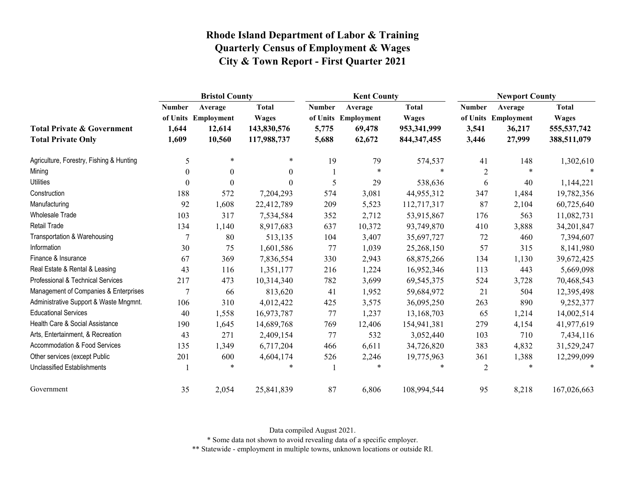|                                                                    | <b>Bristol County</b>           |                                                    |                                                            |                                 | <b>Kent County</b>                                 |                                                              |                                 | <b>Newport County</b>                              |                                                              |  |
|--------------------------------------------------------------------|---------------------------------|----------------------------------------------------|------------------------------------------------------------|---------------------------------|----------------------------------------------------|--------------------------------------------------------------|---------------------------------|----------------------------------------------------|--------------------------------------------------------------|--|
| <b>Total Private &amp; Government</b><br><b>Total Private Only</b> | <b>Number</b><br>1,644<br>1,609 | Average<br>of Units Employment<br>12,614<br>10,560 | <b>Total</b><br><b>Wages</b><br>143,830,576<br>117,988,737 | <b>Number</b><br>5,775<br>5,688 | Average<br>of Units Employment<br>69,478<br>62,672 | <b>Total</b><br><b>Wages</b><br>953,341,999<br>844, 347, 455 | <b>Number</b><br>3,541<br>3,446 | Average<br>of Units Employment<br>36,217<br>27,999 | <b>Total</b><br><b>Wages</b><br>555, 537, 742<br>388,511,079 |  |
| Agriculture, Forestry, Fishing & Hunting                           | 5                               | $\ast$                                             | $\ast$                                                     | 19                              | 79                                                 | 574,537                                                      | 41                              | 148                                                | 1,302,610                                                    |  |
| Mining                                                             | $\Omega$                        | $\theta$                                           | $\boldsymbol{0}$                                           |                                 | $\ast$                                             | $\ast$                                                       | $\overline{2}$                  | *                                                  |                                                              |  |
| <b>Utilities</b>                                                   | $\theta$                        | $\theta$                                           | $\boldsymbol{0}$                                           | 5                               | 29                                                 | 538,636                                                      | 6                               | 40                                                 | 1,144,221                                                    |  |
| Construction                                                       | 188                             | 572                                                | 7,204,293                                                  | 574                             | 3,081                                              | 44,955,312                                                   | 347                             | 1,484                                              | 19,782,356                                                   |  |
| Manufacturing                                                      | 92                              | 1,608                                              | 22,412,789                                                 | 209                             | 5,523                                              | 112,717,317                                                  | 87                              | 2,104                                              | 60,725,640                                                   |  |
| <b>Wholesale Trade</b>                                             | 103                             | 317                                                | 7,534,584                                                  | 352                             | 2,712                                              | 53,915,867                                                   | 176                             | 563                                                | 11,082,731                                                   |  |
| Retail Trade                                                       | 134                             | 1,140                                              | 8,917,683                                                  | 637                             | 10,372                                             | 93,749,870                                                   | 410                             | 3,888                                              | 34,201,847                                                   |  |
| Transportation & Warehousing                                       | 7                               | 80                                                 | 513,135                                                    | 104                             | 3,407                                              | 35,697,727                                                   | 72                              | 460                                                | 7,394,607                                                    |  |
| Information                                                        | 30                              | 75                                                 | 1,601,586                                                  | 77                              | 1,039                                              | 25,268,150                                                   | 57                              | 315                                                | 8,141,980                                                    |  |
| Finance & Insurance                                                | 67                              | 369                                                | 7,836,554                                                  | 330                             | 2,943                                              | 68,875,266                                                   | 134                             | 1,130                                              | 39,672,425                                                   |  |
| Real Estate & Rental & Leasing                                     | 43                              | 116                                                | 1,351,177                                                  | 216                             | 1,224                                              | 16,952,346                                                   | 113                             | 443                                                | 5,669,098                                                    |  |
| Professional & Technical Services                                  | 217                             | 473                                                | 10,314,340                                                 | 782                             | 3,699                                              | 69, 545, 375                                                 | 524                             | 3,728                                              | 70,468,543                                                   |  |
| Management of Companies & Enterprises                              | 7                               | 66                                                 | 813,620                                                    | 41                              | 1,952                                              | 59,684,972                                                   | 21                              | 504                                                | 12,395,498                                                   |  |
| Administrative Support & Waste Mngmnt.                             | 106                             | 310                                                | 4,012,422                                                  | 425                             | 3,575                                              | 36,095,250                                                   | 263                             | 890                                                | 9,252,377                                                    |  |
| <b>Educational Services</b>                                        | 40                              | 1,558                                              | 16,973,787                                                 | 77                              | 1,237                                              | 13,168,703                                                   | 65                              | 1,214                                              | 14,002,514                                                   |  |
| Health Care & Social Assistance                                    | 190                             | 1,645                                              | 14,689,768                                                 | 769                             | 12,406                                             | 154,941,381                                                  | 279                             | 4,154                                              | 41,977,619                                                   |  |
| Arts, Entertainment, & Recreation                                  | 43                              | 271                                                | 2,409,154                                                  | 77                              | 532                                                | 3,052,440                                                    | 103                             | 710                                                | 7,434,116                                                    |  |
| Accommodation & Food Services                                      | 135                             | 1,349                                              | 6,717,204                                                  | 466                             | 6,611                                              | 34,726,820                                                   | 383                             | 4,832                                              | 31,529,247                                                   |  |
| Other services (except Public                                      | 201                             | 600                                                | 4,604,174                                                  | 526                             | 2,246                                              | 19,775,963                                                   | 361                             | 1,388                                              | 12,299,099                                                   |  |
| <b>Unclassified Establishments</b>                                 |                                 | $\ast$                                             | $\ast$                                                     |                                 | $\ast$                                             | $\ast$                                                       | $\overline{2}$                  | *                                                  | $\ast$                                                       |  |
| Government                                                         | 35                              | 2,054                                              | 25,841,839                                                 | 87                              | 6,806                                              | 108,994,544                                                  | 95                              | 8,218                                              | 167,026,663                                                  |  |

Data compiled August 2021.

\* Some data not shown to avoid revealing data of a specific employer.